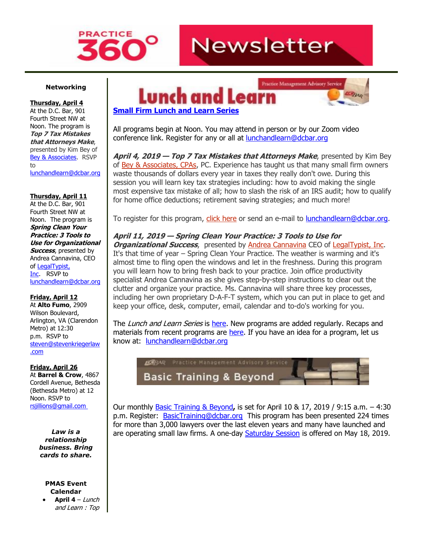

# **Newsletter**

#### **Networking**

**Thursday, April 4** At the D.C. Bar, 901

Fourth Street NW at Noon. The program is **Top 7 Tax Mistakes that Attorneys Make**, presented by Kim Bey of [Bey & Associates.](http://www.mmsend31.com/link.cfm?r=QoMNPE35iHlNN-QOnEIrJw~~&pe=Ko-pYarM6HWSB4AHr9Dzt5bN9yXn4-To5C7KoexPdJY8l2JkJ7FoiMCRBiFvayUG49hHOHet3wjAuW3z-g7XCw~~&t=dYx-z_wLxD94Eq_UERVirg~~) RSVP to [lunchandlearn@dcbar.org](mailto:lunchandlearn@dcbar.org)

**Thursday, April 11**

At the D.C. Bar, 901 Fourth Street NW at Noon. The program is **Spring Clean Your Practice: 3 Tools to Use for Organizational Success**, presented by Andrea Cannavina, CEO of [LegalTypist,](http://www.mmsend31.com/link.cfm?r=QoMNPE35iHlNN-QOnEIrJw~~&pe=QCuNhrvxwchJaAvcLbV9HsOPu6G1I1WoqlnrjEi45uRqQ9DJFvWZFpgyekX2DW_FppKuXmxdCBvfvvLIrlSucA~~&t=dYx-z_wLxD94Eq_UERVirg~~)  [Inc.](http://www.mmsend31.com/link.cfm?r=QoMNPE35iHlNN-QOnEIrJw~~&pe=QCuNhrvxwchJaAvcLbV9HsOPu6G1I1WoqlnrjEi45uRqQ9DJFvWZFpgyekX2DW_FppKuXmxdCBvfvvLIrlSucA~~&t=dYx-z_wLxD94Eq_UERVirg~~) RSVP to [lunchandlearn@dcbar.org](mailto:lunchandlearn@dcbar.org)

#### **Friday, April 12**

At **Alto Fumo**, 2909 Wilson Boulevard, Arlington, VA (Clarendon Metro) at 12:30 p.m. RSVP to [steven@stevenkriegerlaw](mailto:steven@stevenkriegerlaw.com) [.com](mailto:steven@stevenkriegerlaw.com)

#### **Friday, April 26**

At **Barrel & Crow**, 4867 Cordell Avenue, Bethesda (Bethesda Metro) at 12 Noon. RSVP to [rsjillions@gmail.com](mailto:rsjillions@gmail.com)

> *Law is a relationship business. Bring cards to share.*

#### **PMAS Event Calendar**

• **April 4** – Lunch and Learn : Top





# **[Small Firm Lunch](http://www.mmsend31.com/link.cfm?r=QoMNPE35iHlNN-QOnEIrJw~~&pe=TIChAw_4NP795VK7h0ANyJBSMc_dWxJ4YGxR93pIZzLqC0T8pS-INZRjETghkWhehJ8fOwTSzd-srGSjyqzDNw~~&t=dYx-z_wLxD94Eq_UERVirg~~) and Learn Series**

All programs begin at Noon. You may attend in person or by our Zoom video conference link. Register for any or all at [lunchandlearn@dcbar.org](mailto:lunchandlearn@dcbar.org)

**April 4, 2019 — Top 7 Tax Mistakes that Attorneys Make**, presented by Kim Bey of Bey & [Associates,](http://www.mmsend31.com/link.cfm?r=QoMNPE35iHlNN-QOnEIrJw~~&pe=Cljuf5PzuIvDxEZb72dGvL-AKKf4KRn2ZzdHEa23a1yLLAG5bYJuL6BYc9jmB4sew-H2V4WIHTbq1WXam3Xsgg~~&t=dYx-z_wLxD94Eq_UERVirg~~) CPAs, PC. Experience has taught us that many small firm owners waste thousands of dollars every year in taxes they really don't owe. During this session you will learn key tax strategies including: how to avoid making the single most expensive tax mistake of all; how to slash the risk of an IRS audit; how to qualify for home office deductions; retirement saving strategies; and much more!

To register for this program, click [here](http://www.mmsend31.com/link.cfm?r=QoMNPE35iHlNN-QOnEIrJw~~&pe=aT7itZWr-g_wbJE2xESPF3WBM58BhdLdxwrD68k9aQGuQqCNPBBmgMYwjTIa9H1fFpsqDTkqgHQOYPZ-Rjr96Q~~&t=dYx-z_wLxD94Eq_UERVirg~~) or send an e-mail to [lunchandlearn@dcbar.org.](mailto:lunchandlearn@dcbar.org)

# **April 11, 2019 — Spring Clean Your Practice: 3 Tools to Use for**

*Organizational Success*, presented by **Andrea [Cannavina](http://www.mmsend31.com/link.cfm?r=QoMNPE35iHlNN-QOnEIrJw~~&pe=p5wARbpp1ponwwT5NAz5ECEBCllM2VRV6kBKcRwh4ZWcALc7xngfoRYrc2W5iGa6i5F6_yfOacPUXlNEuSmgNw~~&t=dYx-z_wLxD94Eq_UERVirg~~) CEO of LegalTypist**, Inc. It's that time of year – Spring Clean Your Practice. The weather is warming and it's almost time to fling open the windows and let in the freshness. During this program you will learn how to bring fresh back to your practice. Join office productivity specialist Andrea Cannavina as she gives step-by-step instructions to clear out the clutter and organize your practice. Ms. Cannavina will share three key processes, including her own proprietary D-A-F-T system, which you can put in place to get and keep your office, desk, computer, email, calendar and to-do's working for you.

The Lunch and Learn Series is [here.](http://www.mmsend31.com/link.cfm?r=QoMNPE35iHlNN-QOnEIrJw~~&pe=MBkpsDMxG-vVfMSxo_rx_0AAEnpeTl5eDK8mCt2TLhLSKxantbjZhIwDp32G-b7XpsRT1Ltcr4WP56wM9AXcgQ~~&t=dYx-z_wLxD94Eq_UERVirg~~) New programs are added regularly. Recaps and materials from recent programs are [here.](http://www.mmsend31.com/link.cfm?r=QoMNPE35iHlNN-QOnEIrJw~~&pe=YrakJbdpblUh9ptTl2Dp5b8R3u8u18_Z-61Hl_qSDY-yO3Np9f7fTarPRTMaVuOdTqQIYiGNyGYAbCm1wEa2kg~~&t=dYx-z_wLxD94Eq_UERVirg~~) If you have an idea for a program, let us know at: [lunchandlearn@dcbar.org](mailto:lunchandlearn@dcbar.org)



Our monthly [Basic Training & Beyond](http://www.mmsend31.com/link.cfm?r=QoMNPE35iHlNN-QOnEIrJw~~&pe=t2-f4J9c789Ft6XeKaoEs1gOZeoJem_5gO-WAffRzGMHI-HRoReXr9Zwv8WGJF6vyHpOISdbzTdYQRktmJjCXg~~&t=dYx-z_wLxD94Eq_UERVirg~~)**,** is set for April 10 & 17, 2019 / 9:15 a.m. – 4:30 p.m. Register: **[BasicTraining@dcbar.org](mailto:BasicTraining@dcbar.org)** This program has been presented 224 times for more than 3,000 lawyers over the last eleven years and many have launched and are operating small law firms. A one-day **Saturday Session is offered on May 18, 2019.**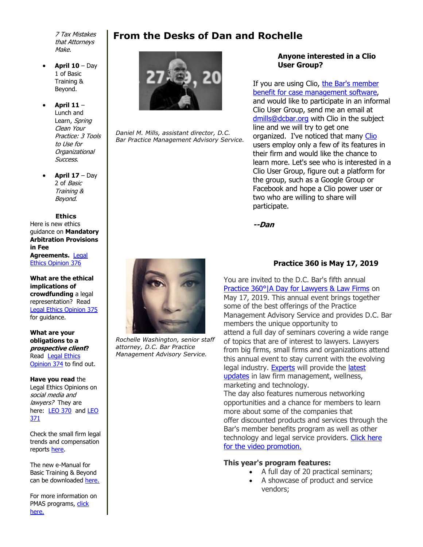7 Tax Mistakes that Attorneys Make.

- **April 10** Day 1 of Basic Training & Beyond.
- **April 11** Lunch and Learn, Spring Clean Your Practice: 3 Tools to Use for **Organizational** Success.
- **April 17** Day 2 of Basic Training & Beyond.

#### **Ethics**

Here is new ethics guidance on **Mandatory Arbitration Provisions in Fee Agreements.** [Legal](http://www.mmsend31.com/link.cfm?r=QoMNPE35iHlNN-QOnEIrJw~~&pe=sgwcbQvmqF0xSlH7hd1maY2VUp17vNmm6Dae2A37jv8jUevd1yK_vVOrYIa094lG9phit02uFfPD6eEidtStlg~~&t=dYx-z_wLxD94Eq_UERVirg~~)  [Ethics Opinion 376](http://www.mmsend31.com/link.cfm?r=QoMNPE35iHlNN-QOnEIrJw~~&pe=sgwcbQvmqF0xSlH7hd1maY2VUp17vNmm6Dae2A37jv8jUevd1yK_vVOrYIa094lG9phit02uFfPD6eEidtStlg~~&t=dYx-z_wLxD94Eq_UERVirg~~)

**What are the ethical implications of crowdfunding** a legal representation? Read [Legal Ethics Opinion 375](http://www.mmsend31.com/link.cfm?r=QoMNPE35iHlNN-QOnEIrJw~~&pe=Me5pevW0A8Flzi5YsXfTOjVYm6Wy11d4AO6r9kB-V6SneLBQdKo13UKIuWLU-3XQlb7IKp9MnpO-jJAzq6LPfQ~~&t=dYx-z_wLxD94Eq_UERVirg~~) for guidance.

**What are your obligations to a prospective client?** Read [Legal Ethics](http://www.mmsend31.com/link.cfm?r=QoMNPE35iHlNN-QOnEIrJw~~&pe=YNGWIYE5ZXlbTvggs7-_BFqfHyYO4bV3YLecBW1ji-xpOzId-YQxNqsA_b9h4QOU_Pb5zBeO7tZUEVFSTOjmCQ~~&t=dYx-z_wLxD94Eq_UERVirg~~)  [Opinion 374](http://www.mmsend31.com/link.cfm?r=QoMNPE35iHlNN-QOnEIrJw~~&pe=YNGWIYE5ZXlbTvggs7-_BFqfHyYO4bV3YLecBW1ji-xpOzId-YQxNqsA_b9h4QOU_Pb5zBeO7tZUEVFSTOjmCQ~~&t=dYx-z_wLxD94Eq_UERVirg~~) to find out.

#### **Have you read** the Legal Ethics Opinions on social media and lawyers? They are here: [LEO 370](http://www.mmsend31.com/link.cfm?r=QoMNPE35iHlNN-QOnEIrJw~~&pe=vxNIfrtN7DUhYuNoLzmhkGVXhSh1UBfOw0E_Sm-k6wX_V7EJuCJW_EseQSs6STnq8KVDb8374_A3K1gGU9K5aA~~&t=dYx-z_wLxD94Eq_UERVirg~~) and LEO [371](http://www.mmsend31.com/link.cfm?r=QoMNPE35iHlNN-QOnEIrJw~~&pe=wGXGyow_m_5_XJvI6joFR8BnalEWelrfBKq6ke18a11TOF1VMV9SISjRd7ckrxbj4ogKjSWWoYNCTEMNzqACeA~~&t=dYx-z_wLxD94Eq_UERVirg~~)

Check the small firm legal trends and compensation reports [here.](http://www.mmsend31.com/link.cfm?r=QoMNPE35iHlNN-QOnEIrJw~~&pe=35E12aPw6jKEuibnPa4W2Wdnl_z-lhG6qsrjRVXrNMMUUBXkWf2wm6rj3q93q1aTCE4oeJx5X7Mir47DHJ8wWg~~&t=dYx-z_wLxD94Eq_UERVirg~~)

The new e-Manual for Basic Training & Beyond can be downloaded [here.](http://www.mmsend31.com/link.cfm?r=QoMNPE35iHlNN-QOnEIrJw~~&pe=wRY_m7tD7axPoz4ISR6Nd_8Rxez3a4eR6u9qnqG2opFC61CFPUducYt-Vwyu3AnyxCwS__bst1D6Hjef1nwqHw~~&t=dYx-z_wLxD94Eq_UERVirg~~)

For more information on PMAS programs, [click](http://www.mmsend31.com/link.cfm?r=QoMNPE35iHlNN-QOnEIrJw~~&pe=oGlfKJy82CmDX3-xIM7JM-xoH6z1Z5OQcIDBoGHpIuBTovcKaHlrN2lzv20cnPEJDGdQ6vhsf_lCmB-O-yCIIg~~&t=dYx-z_wLxD94Eq_UERVirg~~)  [here.](http://www.mmsend31.com/link.cfm?r=QoMNPE35iHlNN-QOnEIrJw~~&pe=oGlfKJy82CmDX3-xIM7JM-xoH6z1Z5OQcIDBoGHpIuBTovcKaHlrN2lzv20cnPEJDGdQ6vhsf_lCmB-O-yCIIg~~&t=dYx-z_wLxD94Eq_UERVirg~~)

# **From the Desks of Dan and Rochelle**



*Daniel M. Mills, assistant director, D.C. Bar Practice Management Advisory Service.*

### **Anyone interested in a Clio User Group?**

If you are using Clio, the Bar's member [benefit for case management software,](http://www.mmsend31.com/link.cfm?r=QoMNPE35iHlNN-QOnEIrJw~~&pe=7Z-9ggHV8aWAtSIDTMYImNgJwmXoUPRd-cqT0QYpVY-Glus7VDgn5dx-egZgcFzBbmzFZEoOzdHgCYXd_80xNw~~&t=dYx-z_wLxD94Eq_UERVirg~~) and would like to participate in an informal Clio User Group, send me an email at [dmills@dcbar.org](mailto:dmills@dcbar.org) with Clio in the subject line and we will try to get one organized. I've noticed that many [Clio](http://www.mmsend31.com/link.cfm?r=QoMNPE35iHlNN-QOnEIrJw~~&pe=YjlSMwSr1xcrTO1ln-G-kanR8oCLGK-ejneU0kkHq5dvGBoNcbC-vLGbEygoxVZZwUB4i1ikV5R8XIaL5xNnNg~~&t=dYx-z_wLxD94Eq_UERVirg~~) users employ only a few of its features in their firm and would like the chance to learn more. Let's see who is interested in a Clio User Group, figure out a platform for the group, such as a Google Group or Facebook and hope a Clio power user or two who are willing to share will participate.

**--Dan**



*Rochelle Washington, senior staff attorney, D.C. Bar Practice Management Advisory Service.*

# **Practice 360 is May 17, 2019**

You are invited to the D.C. Bar's fifth annual [Practice 360°|A Day for Lawyers & Law Firms](http://www.mmsend31.com/link.cfm?r=QoMNPE35iHlNN-QOnEIrJw~~&pe=VaHmbERZWE0c85Qwywsv1J5ZBe0odOu2rWa6vGtshWOldA3yZ6_Ahyu9cCKZLRtohfEaBmw4L0XbK16zBER9kA~~&t=dYx-z_wLxD94Eq_UERVirg~~) on May 17, 2019. This annual event brings together some of the best offerings of the Practice Management Advisory Service and provides D.C. Bar members the unique opportunity to attend a full day of seminars covering a wide range of topics that are of interest to lawyers. Lawyers from big firms, small firms and organizations attend this annual event to stay current with the evolving legal industry. [Experts](http://www.mmsend31.com/link.cfm?r=QoMNPE35iHlNN-QOnEIrJw~~&pe=X0reLGQrCQVZrz3Qzfet1wlyZQTdq6RuwY5LDD3RD08mTk8wdZa9F22b1X_sJXOkoZ-037KaDeQ5Uv3DwkQdCQ~~&t=dYx-z_wLxD94Eq_UERVirg~~) will provide the latest [updates](http://www.mmsend31.com/link.cfm?r=QoMNPE35iHlNN-QOnEIrJw~~&pe=aNVxY-eE_lrKq4IgOvi-j3RUjXZ5bcooNFplER0h8rM_N0FbUIpeJbWDSvGKdERhco5HHses3e6dGvWgy-jkDQ~~&t=dYx-z_wLxD94Eq_UERVirg~~) in law firm management, wellness, marketing and technology. The day also features numerous networking opportunities and a chance for members to learn more about some of the companies that

offer discounted products and services through the Bar's member benefits program as well as other technology and legal service providers. Click here [for the video promotion.](http://www.mmsend31.com/link.cfm?r=QoMNPE35iHlNN-QOnEIrJw~~&pe=Y20DflPpxzJOBnexqT_nJxrw3-6gMVv4lPNQhb0IYu118Ot47SwZfYyzzLC3cGy9pNM__CdAtEa-lDBj-GpwCA~~&t=dYx-z_wLxD94Eq_UERVirg~~)

## **This year's program features:**

- A full day of 20 practical seminars;
- A showcase of product and service vendors;